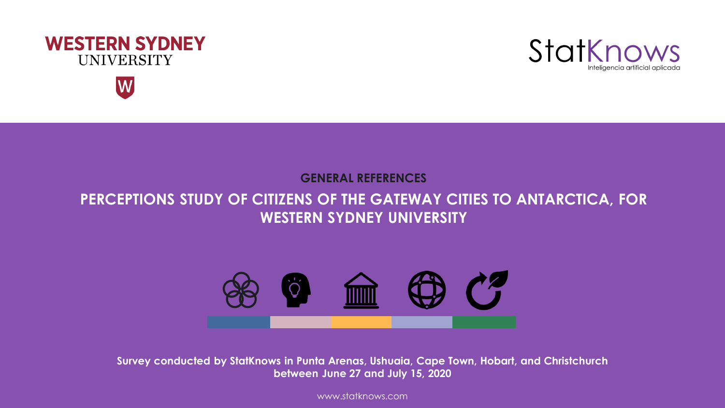





**GENERAL REFERENCES**

## **PERCEPTIONS STUDY OF CITIZENS OF THE GATEWAY CITIES TO ANTARCTICA, FOR WESTERN SYDNEY UNIVERSITY**



**Survey conducted by StatKnows in Punta Arenas, Ushuaia, Cape Town, Hobart, and Christchurch between June 27 and July 15, 2020**

www.statknows.com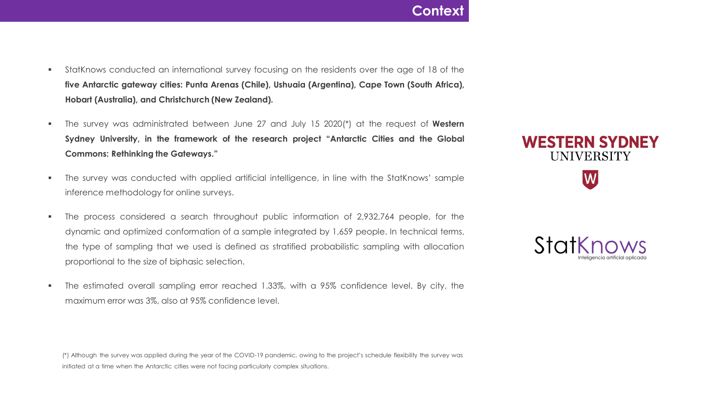#### **Context**

- StatKnows conducted an international survey focusing on the residents over the age of 18 of the **five Antarctic gateway cities: Punta Arenas (Chile), Ushuaia (Argentina), Cape Town (South Africa), Hobart (Australia), and Christchurch (New Zealand).**
- The survey was administrated between June 27 and July 15 2020(\*) at the request of **Western Sydney University, in the framework of the research project "Antarctic Cities and the Global Commons: Rethinking the Gateways."**
- The survey was conducted with applied artificial intelligence, in line with the StatKnows' sample inference methodology for online surveys.
- The process considered a search throughout public information of 2,932,764 people, for the dynamic and optimized conformation of a sample integrated by 1,659 people. In technical terms, the type of sampling that we used is defined as stratified probabilistic sampling with allocation proportional to the size of biphasic selection.
- The estimated overall sampling error reached 1.33%, with a 95% confidence level. By city, the maximum error was 3%, also at 95% confidence level.

(\*) Although the survey was applied during the year of the COVID-19 pandemic, owing to the project's schedule flexibility the survey was initiated at a time when the Antarctic cities were not facing particularly complex situations.



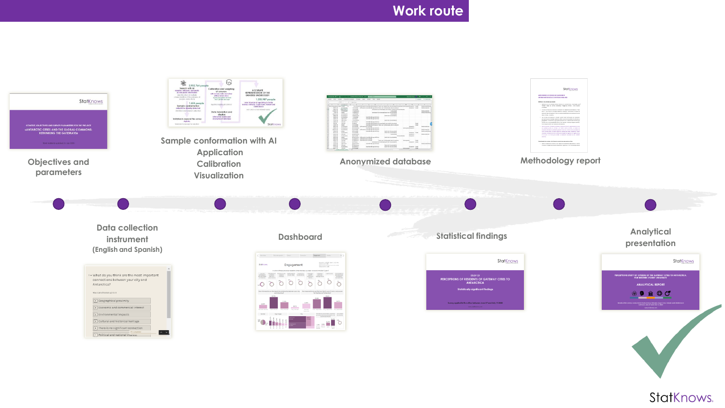## **Work route**



StatKnows.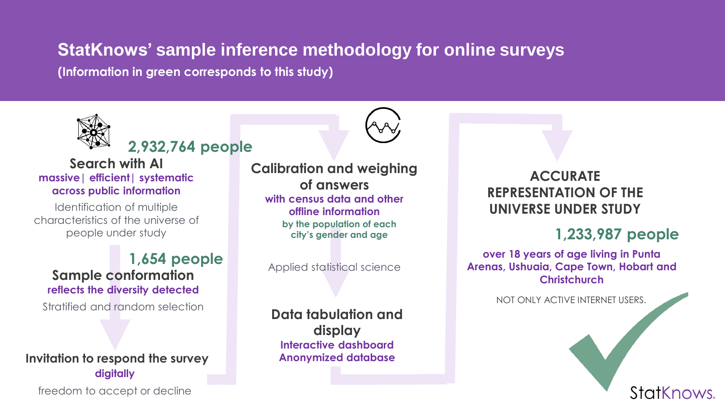# **StatKnows' sample inference methodology for online surveys**

**(Information in green corresponds to this study)**



## **2,932,764 people**

**Search with AI massive| efficient| systematic across public information**

Identification of multiple characteristics of the universe of people under study

#### **1,654 people Sample conformation reflects the diversity detected**

#### **Invitation to respond the survey digitally**

freedom to accept or decline

**Calibration and weighing of answers with census data and other offline information by the population of each city's gender and age**

Applied statistical science

#### **Data tabulation and display Interactive dashboard Anonymized database**

## **ACCURATE REPRESENTATION OF THE UNIVERSE UNDER STUDY**

## **1,233,987 people**

StatKnows.

**over 18 years of age living in Punta Arenas, Ushuaia, Cape Town, Hobart and Christchurch**

Stratified and random selection Not only ACTIVE INTERNET USERS.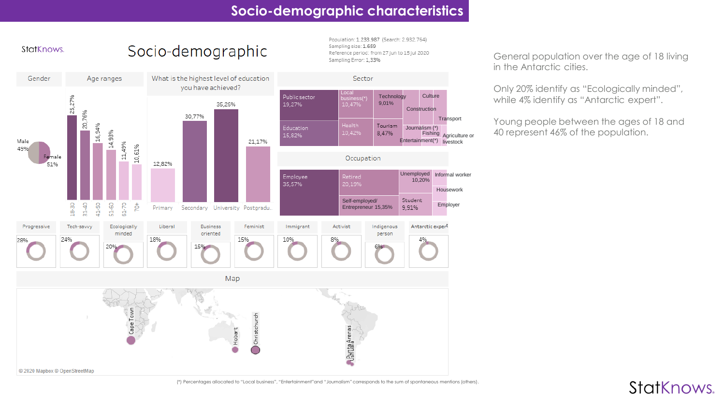#### **Socio-demographic characteristics**

Population: 1.233.987 (Search: 2.932.764)



<sup>(\*)</sup> Percentages allocated to "Local business", "Entertainment"and "Journalism" corresponds to the sum of spontaneous mentions (others).

General population over the age of 18 living in the Antarctic cities.

Only 20% identify as "Ecologically minded", while 4% identify as "Antarctic expert".

Young people between the ages of 18 and 40 represent 46% of the population.

StatKnows.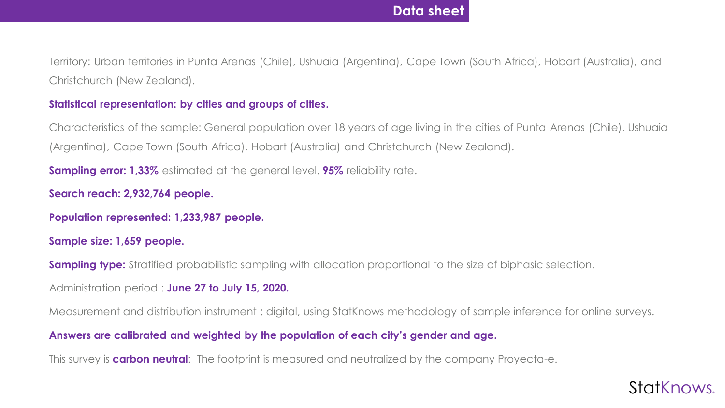Territory: Urban territories in Punta Arenas (Chile), Ushuaia (Argentina), Cape Town (South Africa), Hobart (Australia), and Christchurch (New Zealand).

#### **Statistical representation: by cities and groups of cities.**

Characteristics of the sample: General population over 18 years of age living in the cities of Punta Arenas (Chile), Ushuaia (Argentina), Cape Town (South Africa), Hobart (Australia) and Christchurch (New Zealand).

**Sampling error: 1,33%** estimated at the general level. **95%** reliability rate.

**Search reach: 2,932,764 people.**

**Population represented: 1,233,987 people.**

**Sample size: 1,659 people.**

**Sampling type:** Stratified probabilistic sampling with allocation proportional to the size of biphasic selection.

Administration period : **June 27 to July 15, 2020.**

Measurement and distribution instrument : digital, using StatKnows methodology of sample inference for online surveys.

#### **Answers are calibrated and weighted by the population of each city's gender and age.**

This survey is **carbon neutral**: The footprint is measured and neutralized by the company Proyecta-e.

# StatKnows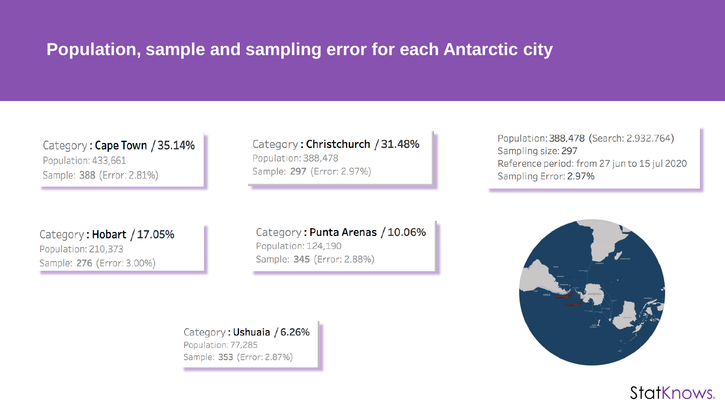# **Population, sample and sampling error for each Antarctic city**

Category: Cape Town / 35.14% Population: 433,661 Sample: 388 (Error: 2.81%)

Category: Hobart / 17.05% Population: 210,373 Sample: 276 (Error: 3.00%)

Category: Christchurch / 31.48% Population: 388,478 Sample: 297 (Error: 2.97%)

Category: Punta Arenas / 10.06% Population: 124,190

Sample: 345 (Error: 2.88%)

Population: 388,478 (Search: 2.932.764) Sampling size: 297 Reference period: from 27 jun to 15 jul 2020 Sampling Error: 2.97%





Category: Ushuaia / 6.26% Population: 77,285 Sample: 353 (Error: 2.87%)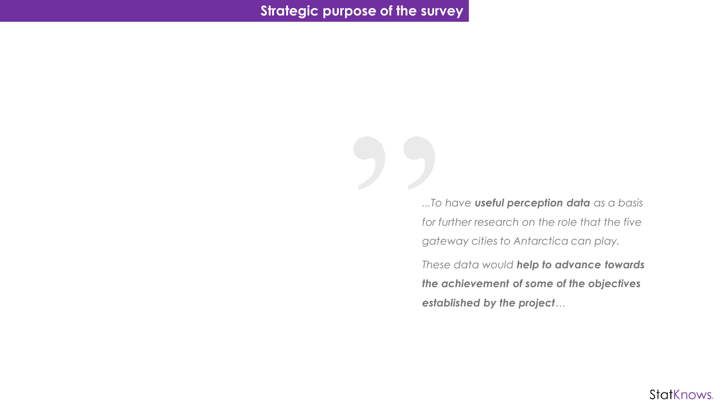*...To have useful perception data as a basis for further research on the role that the five gateway cities to Antarctica can play.*

*These data would help to advance towards the achievement of some of the objectives established by the project…*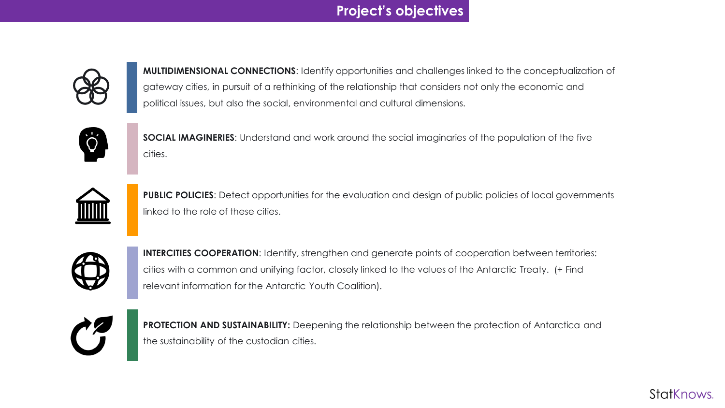### **Project's objectives**



**MULTIDIMENSIONAL CONNECTIONS**: Identify opportunities and challenges linked to the conceptualization of gateway cities, in pursuit of a rethinking of the relationship that considers not only the economic and political issues, but also the social, environmental and cultural dimensions.



**SOCIAL IMAGINERIES**: Understand and work around the social imaginaries of the population of the five cities.



**PUBLIC POLICIES:** Detect opportunities for the evaluation and design of public policies of local governments linked to the role of these cities.



**INTERCITIES COOPERATION:** Identify, strengthen and generate points of cooperation between territories: cities with a common and unifying factor, closely linked to the values of the Antarctic Treaty. (+ Find relevant information for the Antarctic Youth Coalition).



**PROTECTION AND SUSTAINABILITY:** Deepening the relationship between the protection of Antarctica and the sustainability of the custodian cities.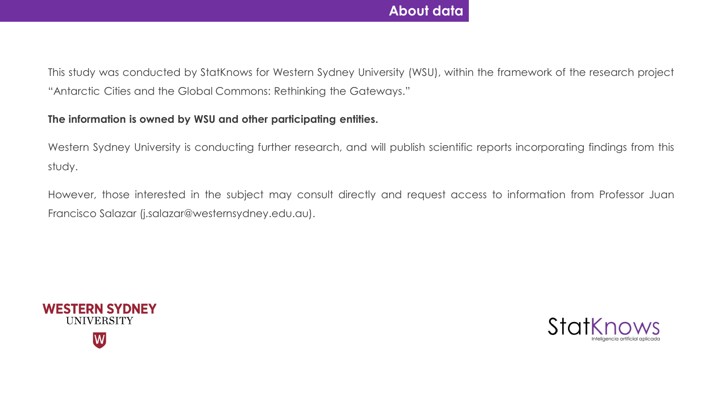### **About data**

This study was conducted by StatKnows for Western Sydney University (WSU), within the framework of the research project "Antarctic Cities and the Global Commons: Rethinking the Gateways."

#### **The information is owned by WSU and other participating entities.**

Western Sydney University is conducting further research, and will publish scientific reports incorporating findings from this study.

However, those interested in the subject may consult directly and request access to information from Professor Juan Francisco Salazar (j.salazar@westernsydney.edu.au).